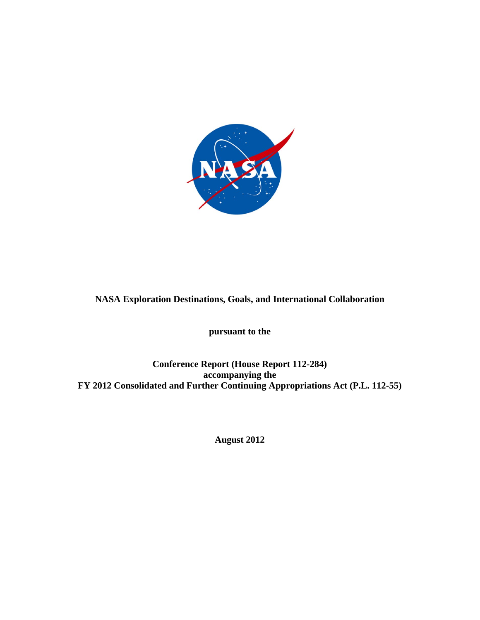

# **NASA Exploration Destinations, Goals, and International Collaboration**

**pursuant to the** 

**Conference Report (House Report 112-284) accompanying the FY 2012 Consolidated and Further Continuing Appropriations Act (P.L. 112-55)** 

**August 2012**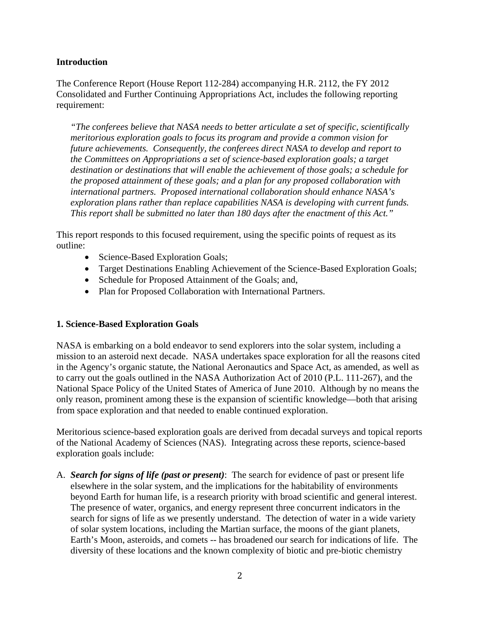#### **Introduction**

The Conference Report (House Report 112-284) accompanying H.R. 2112, the FY 2012 Consolidated and Further Continuing Appropriations Act, includes the following reporting requirement:

*"The conferees believe that NASA needs to better articulate a set of specific, scientifically meritorious exploration goals to focus its program and provide a common vision for future achievements. Consequently, the conferees direct NASA to develop and report to the Committees on Appropriations a set of science-based exploration goals; a target destination or destinations that will enable the achievement of those goals; a schedule for the proposed attainment of these goals; and a plan for any proposed collaboration with international partners. Proposed international collaboration should enhance NASA's exploration plans rather than replace capabilities NASA is developing with current funds. This report shall be submitted no later than 180 days after the enactment of this Act."* 

This report responds to this focused requirement, using the specific points of request as its outline:

- Science-Based Exploration Goals;
- Target Destinations Enabling Achievement of the Science-Based Exploration Goals;
- Schedule for Proposed Attainment of the Goals; and,
- Plan for Proposed Collaboration with International Partners.

#### **1. Science-Based Exploration Goals**

NASA is embarking on a bold endeavor to send explorers into the solar system, including a mission to an asteroid next decade. NASA undertakes space exploration for all the reasons cited in the Agency's organic statute, the National Aeronautics and Space Act, as amended, as well as to carry out the goals outlined in the NASA Authorization Act of 2010 (P.L. 111-267), and the National Space Policy of the United States of America of June 2010. Although by no means the only reason, prominent among these is the expansion of scientific knowledge—both that arising from space exploration and that needed to enable continued exploration.

Meritorious science-based exploration goals are derived from decadal surveys and topical reports of the National Academy of Sciences (NAS). Integrating across these reports, science-based exploration goals include:

A. *Search for signs of life (past or present)*: The search for evidence of past or present life elsewhere in the solar system, and the implications for the habitability of environments beyond Earth for human life, is a research priority with broad scientific and general interest. The presence of water, organics, and energy represent three concurrent indicators in the search for signs of life as we presently understand. The detection of water in a wide variety of solar system locations, including the Martian surface, the moons of the giant planets, Earth's Moon, asteroids, and comets -- has broadened our search for indications of life. The diversity of these locations and the known complexity of biotic and pre-biotic chemistry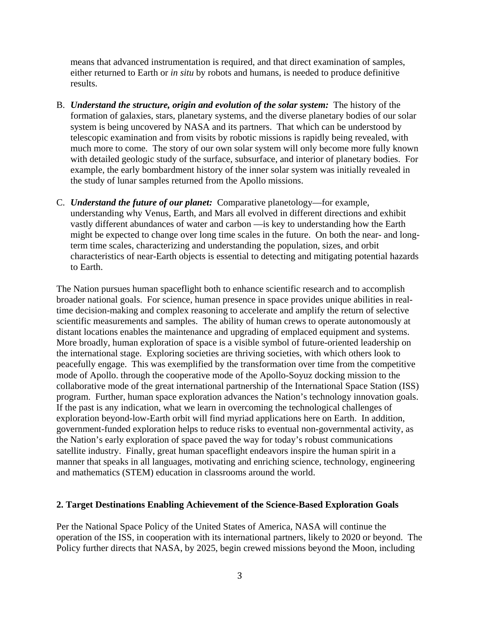means that advanced instrumentation is required, and that direct examination of samples, either returned to Earth or *in situ* by robots and humans, is needed to produce definitive results.

- B. *Understand the structure, origin and evolution of the solar system:* The history of the formation of galaxies, stars, planetary systems, and the diverse planetary bodies of our solar system is being uncovered by NASA and its partners. That which can be understood by telescopic examination and from visits by robotic missions is rapidly being revealed, with much more to come. The story of our own solar system will only become more fully known with detailed geologic study of the surface, subsurface, and interior of planetary bodies. For example, the early bombardment history of the inner solar system was initially revealed in the study of lunar samples returned from the Apollo missions.
- C. *Understand the future of our planet:* Comparative planetology—for example, understanding why Venus, Earth, and Mars all evolved in different directions and exhibit vastly different abundances of water and carbon —is key to understanding how the Earth might be expected to change over long time scales in the future. On both the near- and longterm time scales, characterizing and understanding the population, sizes, and orbit characteristics of near-Earth objects is essential to detecting and mitigating potential hazards to Earth.

The Nation pursues human spaceflight both to enhance scientific research and to accomplish broader national goals. For science, human presence in space provides unique abilities in realtime decision-making and complex reasoning to accelerate and amplify the return of selective scientific measurements and samples. The ability of human crews to operate autonomously at distant locations enables the maintenance and upgrading of emplaced equipment and systems. More broadly, human exploration of space is a visible symbol of future-oriented leadership on the international stage. Exploring societies are thriving societies, with which others look to peacefully engage. This was exemplified by the transformation over time from the competitive mode of Apollo. through the cooperative mode of the Apollo-Soyuz docking mission to the collaborative mode of the great international partnership of the International Space Station (ISS) program. Further, human space exploration advances the Nation's technology innovation goals. If the past is any indication, what we learn in overcoming the technological challenges of exploration beyond-low-Earth orbit will find myriad applications here on Earth. In addition, government-funded exploration helps to reduce risks to eventual non-governmental activity, as the Nation's early exploration of space paved the way for today's robust communications satellite industry. Finally, great human spaceflight endeavors inspire the human spirit in a manner that speaks in all languages, motivating and enriching science, technology, engineering and mathematics (STEM) education in classrooms around the world.

#### **2. Target Destinations Enabling Achievement of the Science-Based Exploration Goals**

Per the National Space Policy of the United States of America, NASA will continue the operation of the ISS, in cooperation with its international partners, likely to 2020 or beyond. The Policy further directs that NASA, by 2025, begin crewed missions beyond the Moon, including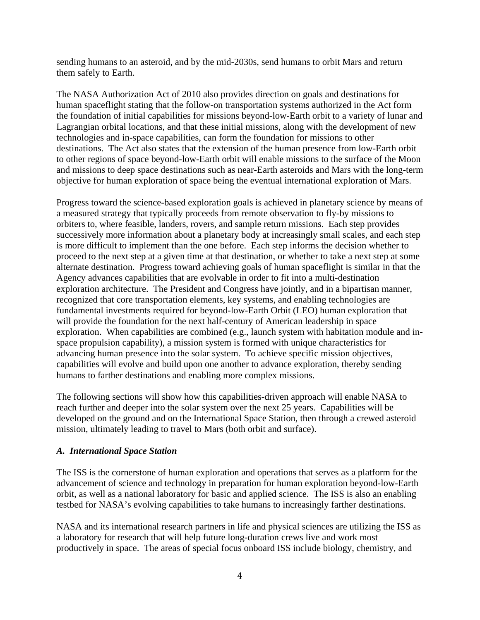sending humans to an asteroid, and by the mid-2030s, send humans to orbit Mars and return them safely to Earth.

The NASA Authorization Act of 2010 also provides direction on goals and destinations for human spaceflight stating that the follow-on transportation systems authorized in the Act form the foundation of initial capabilities for missions beyond-low-Earth orbit to a variety of lunar and Lagrangian orbital locations, and that these initial missions, along with the development of new technologies and in-space capabilities, can form the foundation for missions to other destinations. The Act also states that the extension of the human presence from low-Earth orbit to other regions of space beyond-low-Earth orbit will enable missions to the surface of the Moon and missions to deep space destinations such as near-Earth asteroids and Mars with the long-term objective for human exploration of space being the eventual international exploration of Mars.

Progress toward the science-based exploration goals is achieved in planetary science by means of a measured strategy that typically proceeds from remote observation to fly-by missions to orbiters to, where feasible, landers, rovers, and sample return missions. Each step provides successively more information about a planetary body at increasingly small scales, and each step is more difficult to implement than the one before. Each step informs the decision whether to proceed to the next step at a given time at that destination, or whether to take a next step at some alternate destination. Progress toward achieving goals of human spaceflight is similar in that the Agency advances capabilities that are evolvable in order to fit into a multi-destination exploration architecture. The President and Congress have jointly, and in a bipartisan manner, recognized that core transportation elements, key systems, and enabling technologies are fundamental investments required for beyond-low-Earth Orbit (LEO) human exploration that will provide the foundation for the next half-century of American leadership in space exploration. When capabilities are combined (e.g., launch system with habitation module and inspace propulsion capability), a mission system is formed with unique characteristics for advancing human presence into the solar system. To achieve specific mission objectives, capabilities will evolve and build upon one another to advance exploration, thereby sending humans to farther destinations and enabling more complex missions.

The following sections will show how this capabilities-driven approach will enable NASA to reach further and deeper into the solar system over the next 25 years. Capabilities will be developed on the ground and on the International Space Station, then through a crewed asteroid mission, ultimately leading to travel to Mars (both orbit and surface).

#### *A. International Space Station*

The ISS is the cornerstone of human exploration and operations that serves as a platform for the advancement of science and technology in preparation for human exploration beyond-low-Earth orbit, as well as a national laboratory for basic and applied science. The ISS is also an enabling testbed for NASA's evolving capabilities to take humans to increasingly farther destinations.

NASA and its international research partners in life and physical sciences are utilizing the ISS as a laboratory for research that will help future long-duration crews live and work most productively in space. The areas of special focus onboard ISS include biology, chemistry, and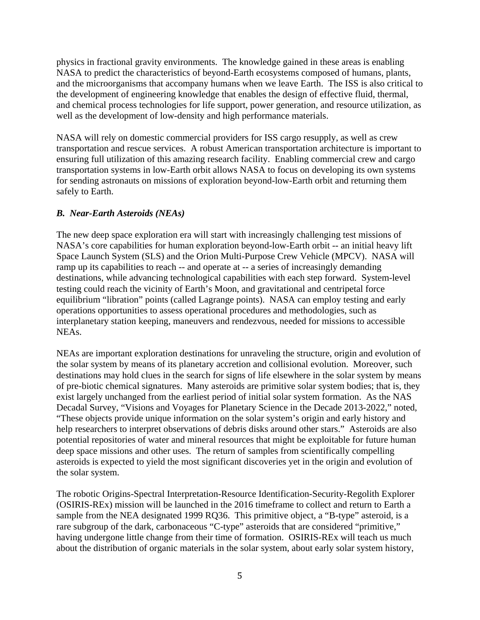physics in fractional gravity environments. The knowledge gained in these areas is enabling NASA to predict the characteristics of beyond-Earth ecosystems composed of humans, plants, and the microorganisms that accompany humans when we leave Earth. The ISS is also critical to the development of engineering knowledge that enables the design of effective fluid, thermal, and chemical process technologies for life support, power generation, and resource utilization, as well as the development of low-density and high performance materials.

NASA will rely on domestic commercial providers for ISS cargo resupply, as well as crew transportation and rescue services. A robust American transportation architecture is important to ensuring full utilization of this amazing research facility. Enabling commercial crew and cargo transportation systems in low-Earth orbit allows NASA to focus on developing its own systems for sending astronauts on missions of exploration beyond-low-Earth orbit and returning them safely to Earth.

## *B. Near-Earth Asteroids (NEAs)*

The new deep space exploration era will start with increasingly challenging test missions of NASA's core capabilities for human exploration beyond-low-Earth orbit -- an initial heavy lift Space Launch System (SLS) and the Orion Multi-Purpose Crew Vehicle (MPCV). NASA will ramp up its capabilities to reach -- and operate at -- a series of increasingly demanding destinations, while advancing technological capabilities with each step forward. System-level testing could reach the vicinity of Earth's Moon, and gravitational and centripetal force equilibrium "libration" points (called Lagrange points). NASA can employ testing and early operations opportunities to assess operational procedures and methodologies, such as interplanetary station keeping, maneuvers and rendezvous, needed for missions to accessible NEAs.

NEAs are important exploration destinations for unraveling the structure, origin and evolution of the solar system by means of its planetary accretion and collisional evolution. Moreover, such destinations may hold clues in the search for signs of life elsewhere in the solar system by means of pre-biotic chemical signatures. Many asteroids are primitive solar system bodies; that is, they exist largely unchanged from the earliest period of initial solar system formation. As the NAS Decadal Survey, "Visions and Voyages for Planetary Science in the Decade 2013-2022," noted, "These objects provide unique information on the solar system's origin and early history and help researchers to interpret observations of debris disks around other stars." Asteroids are also potential repositories of water and mineral resources that might be exploitable for future human deep space missions and other uses. The return of samples from scientifically compelling asteroids is expected to yield the most significant discoveries yet in the origin and evolution of the solar system.

The robotic Origins-Spectral Interpretation-Resource Identification-Security-Regolith Explorer (OSIRIS-REx) mission will be launched in the 2016 timeframe to collect and return to Earth a sample from the NEA designated 1999 RQ36. This primitive object, a "B-type" asteroid, is a rare subgroup of the dark, carbonaceous "C-type" asteroids that are considered "primitive," having undergone little change from their time of formation. OSIRIS-REx will teach us much about the distribution of organic materials in the solar system, about early solar system history,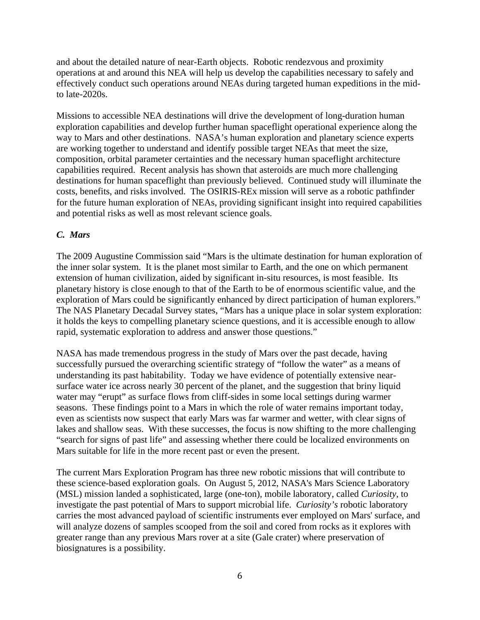and about the detailed nature of near-Earth objects. Robotic rendezvous and proximity operations at and around this NEA will help us develop the capabilities necessary to safely and effectively conduct such operations around NEAs during targeted human expeditions in the midto late-2020s.

Missions to accessible NEA destinations will drive the development of long-duration human exploration capabilities and develop further human spaceflight operational experience along the way to Mars and other destinations. NASA's human exploration and planetary science experts are working together to understand and identify possible target NEAs that meet the size, composition, orbital parameter certainties and the necessary human spaceflight architecture capabilities required. Recent analysis has shown that asteroids are much more challenging destinations for human spaceflight than previously believed. Continued study will illuminate the costs, benefits, and risks involved. The OSIRIS-REx mission will serve as a robotic pathfinder for the future human exploration of NEAs, providing significant insight into required capabilities and potential risks as well as most relevant science goals.

## *C. Mars*

The 2009 Augustine Commission said "Mars is the ultimate destination for human exploration of the inner solar system. It is the planet most similar to Earth, and the one on which permanent extension of human civilization, aided by significant in-situ resources, is most feasible. Its planetary history is close enough to that of the Earth to be of enormous scientific value, and the exploration of Mars could be significantly enhanced by direct participation of human explorers." The NAS Planetary Decadal Survey states, "Mars has a unique place in solar system exploration: it holds the keys to compelling planetary science questions, and it is accessible enough to allow rapid, systematic exploration to address and answer those questions."

NASA has made tremendous progress in the study of Mars over the past decade, having successfully pursued the overarching scientific strategy of "follow the water" as a means of understanding its past habitability. Today we have evidence of potentially extensive nearsurface water ice across nearly 30 percent of the planet, and the suggestion that briny liquid water may "erupt" as surface flows from cliff-sides in some local settings during warmer seasons. These findings point to a Mars in which the role of water remains important today, even as scientists now suspect that early Mars was far warmer and wetter, with clear signs of lakes and shallow seas. With these successes, the focus is now shifting to the more challenging "search for signs of past life" and assessing whether there could be localized environments on Mars suitable for life in the more recent past or even the present.

The current Mars Exploration Program has three new robotic missions that will contribute to these science-based exploration goals. On August 5, 2012, NASA's Mars Science Laboratory (MSL) mission landed a sophisticated, large (one-ton), mobile laboratory, called *Curiosity*, to investigate the past potential of Mars to support microbial life. *Curiosity's* robotic laboratory carries the most advanced payload of scientific instruments ever employed on Mars' surface, and will analyze dozens of samples scooped from the soil and cored from rocks as it explores with greater range than any previous Mars rover at a site (Gale crater) where preservation of biosignatures is a possibility.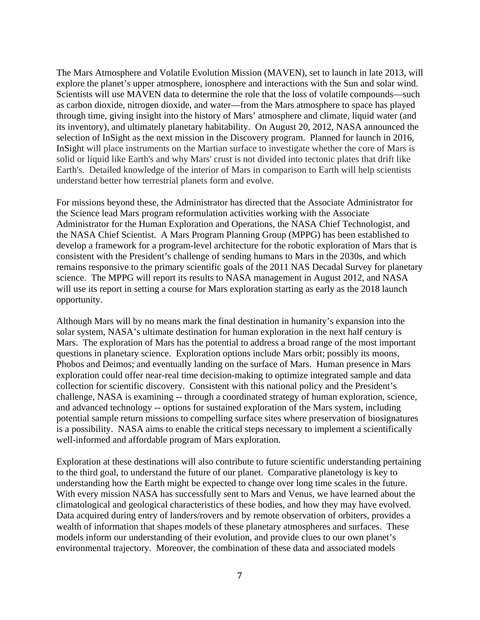The Mars Atmosphere and Volatile Evolution Mission (MAVEN), set to launch in late 2013, will explore the planet's upper atmosphere, ionosphere and interactions with the Sun and solar wind. Scientists will use MAVEN data to determine the role that the loss of volatile compounds—such as carbon dioxide, nitrogen dioxide, and water—from the Mars atmosphere to space has played through time, giving insight into the history of Mars' atmosphere and climate, liquid water (and its inventory), and ultimately planetary habitability. On August 20, 2012, NASA announced the selection of InSight as the next mission in the Discovery program. Planned for launch in 2016, InSight will place instruments on the Martian surface to investigate whether the core of Mars is solid or liquid like Earth's and why Mars' crust is not divided into tectonic plates that drift like Earth's. Detailed knowledge of the interior of Mars in comparison to Earth will help scientists understand better how terrestrial planets form and evolve.

For missions beyond these, the Administrator has directed that the Associate Administrator for the Science lead Mars program reformulation activities working with the Associate Administrator for the Human Exploration and Operations, the NASA Chief Technologist, and the NASA Chief Scientist. A Mars Program Planning Group (MPPG) has been established to develop a framework for a program-level architecture for the robotic exploration of Mars that is consistent with the President's challenge of sending humans to Mars in the 2030s, and which remains responsive to the primary scientific goals of the 2011 NAS Decadal Survey for planetary science. The MPPG will report its results to NASA management in August 2012, and NASA will use its report in setting a course for Mars exploration starting as early as the 2018 launch opportunity.

Although Mars will by no means mark the final destination in humanity's expansion into the solar system, NASA's ultimate destination for human exploration in the next half century is Mars. The exploration of Mars has the potential to address a broad range of the most important questions in planetary science. Exploration options include Mars orbit; possibly its moons, Phobos and Deimos; and eventually landing on the surface of Mars. Human presence in Mars exploration could offer near-real time decision-making to optimize integrated sample and data collection for scientific discovery. Consistent with this national policy and the President's challenge, NASA is examining -- through a coordinated strategy of human exploration, science, and advanced technology -- options for sustained exploration of the Mars system, including potential sample return missions to compelling surface sites where preservation of biosignatures is a possibility. NASA aims to enable the critical steps necessary to implement a scientifically well-informed and affordable program of Mars exploration.

Exploration at these destinations will also contribute to future scientific understanding pertaining to the third goal, to understand the future of our planet. Comparative planetology is key to understanding how the Earth might be expected to change over long time scales in the future. With every mission NASA has successfully sent to Mars and Venus, we have learned about the climatological and geological characteristics of these bodies, and how they may have evolved. Data acquired during entry of landers/rovers and by remote observation of orbiters, provides a wealth of information that shapes models of these planetary atmospheres and surfaces. These models inform our understanding of their evolution, and provide clues to our own planet's environmental trajectory. Moreover, the combination of these data and associated models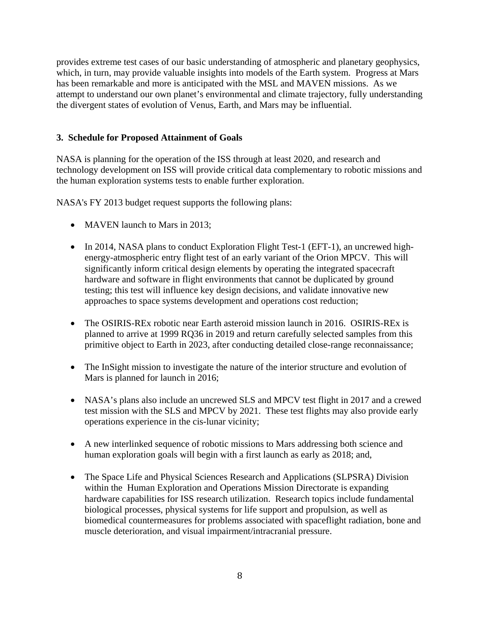provides extreme test cases of our basic understanding of atmospheric and planetary geophysics, which, in turn, may provide valuable insights into models of the Earth system. Progress at Mars has been remarkable and more is anticipated with the MSL and MAVEN missions. As we attempt to understand our own planet's environmental and climate trajectory, fully understanding the divergent states of evolution of Venus, Earth, and Mars may be influential.

## **3. Schedule for Proposed Attainment of Goals**

NASA is planning for the operation of the ISS through at least 2020, and research and technology development on ISS will provide critical data complementary to robotic missions and the human exploration systems tests to enable further exploration.

NASA's FY 2013 budget request supports the following plans:

- MAVEN launch to Mars in 2013:
- In 2014, NASA plans to conduct Exploration Flight Test-1 (EFT-1), an uncrewed highenergy-atmospheric entry flight test of an early variant of the Orion MPCV. This will significantly inform critical design elements by operating the integrated spacecraft hardware and software in flight environments that cannot be duplicated by ground testing; this test will influence key design decisions, and validate innovative new approaches to space systems development and operations cost reduction;
- The OSIRIS-REx robotic near Earth asteroid mission launch in 2016. OSIRIS-REx is planned to arrive at 1999 RQ36 in 2019 and return carefully selected samples from this primitive object to Earth in 2023, after conducting detailed close-range reconnaissance;
- The InSight mission to investigate the nature of the interior structure and evolution of Mars is planned for launch in 2016;
- NASA's plans also include an uncrewed SLS and MPCV test flight in 2017 and a crewed test mission with the SLS and MPCV by 2021. These test flights may also provide early operations experience in the cis-lunar vicinity;
- A new interlinked sequence of robotic missions to Mars addressing both science and human exploration goals will begin with a first launch as early as 2018; and,
- The Space Life and Physical Sciences Research and Applications (SLPSRA) Division within the Human Exploration and Operations Mission Directorate is expanding hardware capabilities for ISS research utilization. Research topics include fundamental biological processes, physical systems for life support and propulsion, as well as biomedical countermeasures for problems associated with spaceflight radiation, bone and muscle deterioration, and visual impairment/intracranial pressure.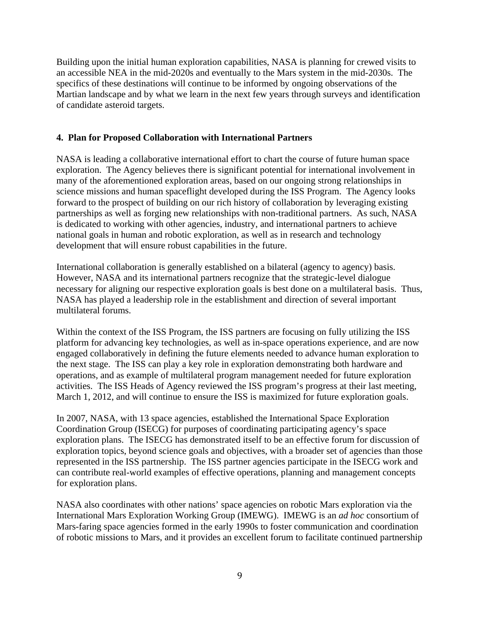Building upon the initial human exploration capabilities, NASA is planning for crewed visits to an accessible NEA in the mid-2020s and eventually to the Mars system in the mid-2030s. The specifics of these destinations will continue to be informed by ongoing observations of the Martian landscape and by what we learn in the next few years through surveys and identification of candidate asteroid targets.

#### **4. Plan for Proposed Collaboration with International Partners**

NASA is leading a collaborative international effort to chart the course of future human space exploration. The Agency believes there is significant potential for international involvement in many of the aforementioned exploration areas, based on our ongoing strong relationships in science missions and human spaceflight developed during the ISS Program. The Agency looks forward to the prospect of building on our rich history of collaboration by leveraging existing partnerships as well as forging new relationships with non-traditional partners. As such, NASA is dedicated to working with other agencies, industry, and international partners to achieve national goals in human and robotic exploration, as well as in research and technology development that will ensure robust capabilities in the future.

International collaboration is generally established on a bilateral (agency to agency) basis. However, NASA and its international partners recognize that the strategic-level dialogue necessary for aligning our respective exploration goals is best done on a multilateral basis. Thus, NASA has played a leadership role in the establishment and direction of several important multilateral forums.

Within the context of the ISS Program, the ISS partners are focusing on fully utilizing the ISS platform for advancing key technologies, as well as in-space operations experience, and are now engaged collaboratively in defining the future elements needed to advance human exploration to the next stage. The ISS can play a key role in exploration demonstrating both hardware and operations, and as example of multilateral program management needed for future exploration activities. The ISS Heads of Agency reviewed the ISS program's progress at their last meeting, March 1, 2012, and will continue to ensure the ISS is maximized for future exploration goals.

In 2007, NASA, with 13 space agencies, established the International Space Exploration Coordination Group (ISECG) for purposes of coordinating participating agency's space exploration plans. The ISECG has demonstrated itself to be an effective forum for discussion of exploration topics, beyond science goals and objectives, with a broader set of agencies than those represented in the ISS partnership. The ISS partner agencies participate in the ISECG work and can contribute real-world examples of effective operations, planning and management concepts for exploration plans.

NASA also coordinates with other nations' space agencies on robotic Mars exploration via the International Mars Exploration Working Group (IMEWG). IMEWG is an *ad hoc* consortium of Mars-faring space agencies formed in the early 1990s to foster communication and coordination of robotic missions to Mars, and it provides an excellent forum to facilitate continued partnership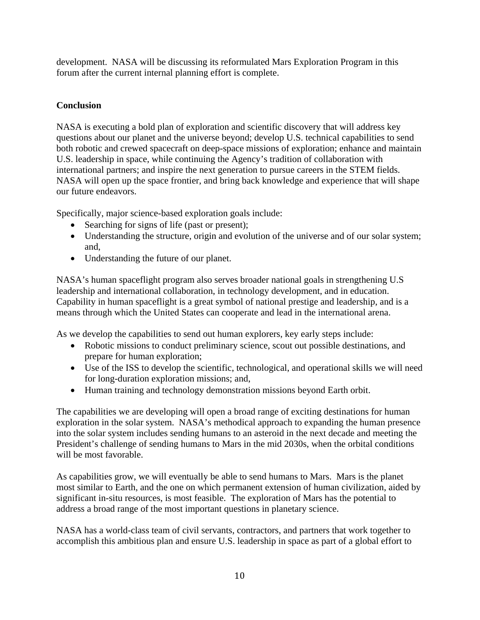development. NASA will be discussing its reformulated Mars Exploration Program in this forum after the current internal planning effort is complete.

## **Conclusion**

NASA is executing a bold plan of exploration and scientific discovery that will address key questions about our planet and the universe beyond; develop U.S. technical capabilities to send both robotic and crewed spacecraft on deep-space missions of exploration; enhance and maintain U.S. leadership in space, while continuing the Agency's tradition of collaboration with international partners; and inspire the next generation to pursue careers in the STEM fields. NASA will open up the space frontier, and bring back knowledge and experience that will shape our future endeavors.

Specifically, major science-based exploration goals include:

- Searching for signs of life (past or present);
- Understanding the structure, origin and evolution of the universe and of our solar system; and,
- Understanding the future of our planet.

NASA's human spaceflight program also serves broader national goals in strengthening U.S leadership and international collaboration, in technology development, and in education. Capability in human spaceflight is a great symbol of national prestige and leadership, and is a means through which the United States can cooperate and lead in the international arena.

As we develop the capabilities to send out human explorers, key early steps include:

- Robotic missions to conduct preliminary science, scout out possible destinations, and prepare for human exploration;
- Use of the ISS to develop the scientific, technological, and operational skills we will need for long-duration exploration missions; and,
- Human training and technology demonstration missions beyond Earth orbit.

The capabilities we are developing will open a broad range of exciting destinations for human exploration in the solar system. NASA's methodical approach to expanding the human presence into the solar system includes sending humans to an asteroid in the next decade and meeting the President's challenge of sending humans to Mars in the mid 2030s, when the orbital conditions will be most favorable.

As capabilities grow, we will eventually be able to send humans to Mars. Mars is the planet most similar to Earth, and the one on which permanent extension of human civilization, aided by significant in-situ resources, is most feasible. The exploration of Mars has the potential to address a broad range of the most important questions in planetary science.

NASA has a world-class team of civil servants, contractors, and partners that work together to accomplish this ambitious plan and ensure U.S. leadership in space as part of a global effort to